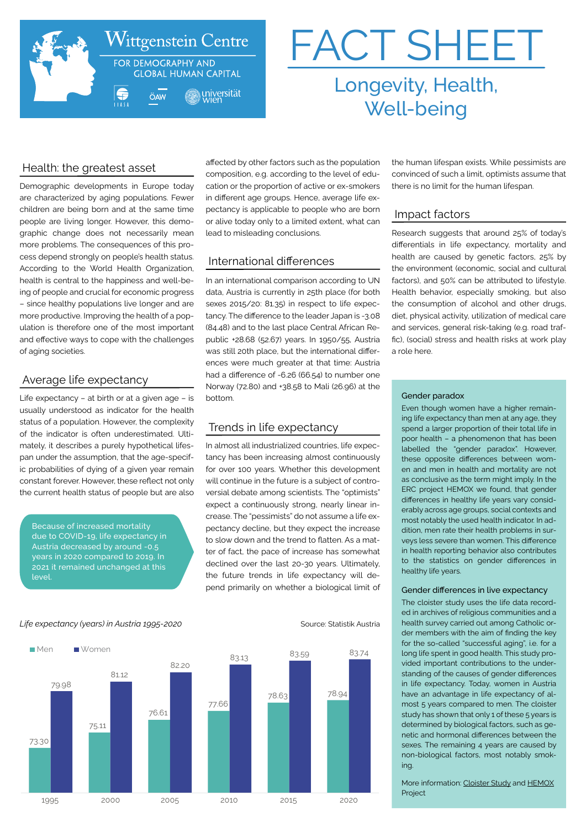

# FACT SHEET Longevity, Health,

Well-being

# Health: the greatest asset

Demographic developments in Europe today are characterized by aging populations. Fewer children are being born and at the same time people are living longer. However, this demographic change does not necessarily mean more problems. The consequences of this process depend strongly on people's health status. According to the World Health Organization, health is central to the happiness and well-being of people and crucial for economic progress – since healthy populations live longer and are more productive. Improving the health of a population is therefore one of the most important and effective ways to cope with the challenges of aging societies.

## Average life expectancy

Life expectancy – at birth or at a given age – is usually understood as indicator for the health status of a population. However, the complexity of the indicator is often underestimated. Ultimately, it describes a purely hypothetical lifespan under the assumption, that the age-specific probabilities of dying of a given year remain constant forever. However, these reflect not only the current health status of people but are also

Because of increased mortality due to COVID-19, life expectancy in Austria decreased by around -0.5 years in 2020 compared to 2019. In 2021 it remained unchanged at this level.

affected by other factors such as the population composition, e.g. according to the level of education or the proportion of active or ex-smokers in different age groups. Hence, average life expectancy is applicable to people who are born or alive today only to a limited extent, what can lead to misleading conclusions.

# International differences

In an international comparison according to UN data, Austria is currently in 25th place (for both sexes 2015/20: 81.35) in respect to life expectancy. The difference to the leader Japan is -3.08 (84.48) and to the last place Central African Republic +28.68 (52.67) years. In 1950/55, Austria was still 20th place, but the international differences were much greater at that time: Austria had a difference of -6.26 (66.54) to number one Norway (72.80) and +38.58 to Mali (26.96) at the bottom.

## Trends in life expectancy

In almost all industrialized countries, life expectancy has been increasing almost continuously for over 100 years. Whether this development will continue in the future is a subject of controversial debate among scientists. The "optimists" expect a continuously strong, nearly linear increase. The "pessimists" do not assume a life expectancy decline, but they expect the increase to slow down and the trend to flatten. As a matter of fact, the pace of increase has somewhat declined over the last 20-30 years. Ultimately, the future trends in life expectancy will depend primarily on whether a biological limit of

the human lifespan exists. While pessimists are convinced of such a limit, optimists assume that there is no limit for the human lifespan.

## Impact factors

Research suggests that around 25% of today's differentials in life expectancy, mortality and health are caused by genetic factors, 25% by the environment (economic, social and cultural factors), and 50% can be attributed to lifestyle. Health behavior, especially smoking, but also the consumption of alcohol and other drugs, diet, physical activity, utilization of medical care and services, general risk-taking (e.g. road traffic), (social) stress and health risks at work play a role here.

### Gender paradox

Even though women have a higher remaining life expectancy than men at any age, they spend a larger proportion of their total life in poor health – a phenomenon that has been labelled the "gender paradox". However, these opposite differences between women and men in health and mortality are not as conclusive as the term might imply. In the ERC project HEMOX we found, that gender differences in healthy life years vary considerably across age groups, social contexts and most notably the used health indicator. In addition, men rate their health problems in surveys less severe than women. This difference in health reporting behavior also contributes to the statistics on gender differences in healthy life years.

#### Gender differences in live expectancy

The cloister study uses the life data recorded in archives of religious communities and a health survey carried out among Catholic order members with the aim of finding the key for the so-called "successful aging", i.e. for a long life spent in good health. This study provided important contributions to the understanding of the causes of gender differences in life expectancy. Today, women in Austria have an advantage in life expectancy of almost 5 years compared to men. The cloister study has shown that only 1 of these 5 years is determined by biological factors, such as genetic and hormonal differences between the sexes. The remaining 4 years are caused by non-biological factors, most notably smoking.

More information: [Cloister Study](http://cloisterstudy.eu
) and [HEMOX](https://cloisterstudy.eu/) Project

#### *Life expectancy (years) in Austria 1995-2020* Source: Statistik Austria